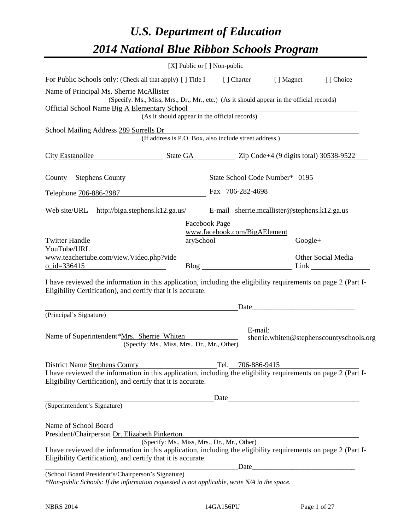# *U.S. Department of Education 2014 National Blue Ribbon Schools Program*

|                                                                                                                                                                                | [X] Public or [] Non-public                            |                                                                                                                      |                                          |
|--------------------------------------------------------------------------------------------------------------------------------------------------------------------------------|--------------------------------------------------------|----------------------------------------------------------------------------------------------------------------------|------------------------------------------|
| For Public Schools only: (Check all that apply) [] Title I [] Charter [] Magnet [] Choice                                                                                      |                                                        |                                                                                                                      |                                          |
| Name of Principal Ms. Sherrie McAllister                                                                                                                                       |                                                        |                                                                                                                      |                                          |
| (Specify: Ms., Miss, Mrs., Dr., Mr., etc.) (As it should appear in the official records)                                                                                       |                                                        |                                                                                                                      |                                          |
| Official School Name Big A Elementary School                                                                                                                                   | (As it should appear in the official records)          |                                                                                                                      |                                          |
| School Mailing Address 289 Sorrells Dr                                                                                                                                         |                                                        |                                                                                                                      |                                          |
|                                                                                                                                                                                | (If address is P.O. Box, also include street address.) |                                                                                                                      |                                          |
| City Eastanollee State GA Zip Code+4 (9 digits total) 30538-9522                                                                                                               |                                                        |                                                                                                                      |                                          |
| County Stephens County State School Code Number* 0195                                                                                                                          |                                                        |                                                                                                                      |                                          |
| Telephone 706-886-2987                                                                                                                                                         |                                                        | Fax 706-282-4698                                                                                                     |                                          |
| Web site/URL http://biga.stephens.k12.ga.us/ E-mail sherrie.mcallister@stephens.k12.ga.us                                                                                      |                                                        |                                                                                                                      |                                          |
|                                                                                                                                                                                | Facebook Page                                          |                                                                                                                      |                                          |
|                                                                                                                                                                                | www.facebook.com/BigAElement                           |                                                                                                                      |                                          |
| Twitter Handle<br>YouTube/URL                                                                                                                                                  |                                                        | arySchool Google+                                                                                                    |                                          |
| www.teachertube.com/view.Video.php?vide                                                                                                                                        |                                                        |                                                                                                                      | Other Social Media                       |
| $0$ _id=336415                                                                                                                                                                 |                                                        |                                                                                                                      |                                          |
| I have reviewed the information in this application, including the eligibility requirements on page 2 (Part I-<br>Eligibility Certification), and certify that it is accurate. |                                                        |                                                                                                                      |                                          |
|                                                                                                                                                                                |                                                        |                                                                                                                      |                                          |
| (Principal's Signature)                                                                                                                                                        |                                                        |                                                                                                                      |                                          |
| Name of Superintendent*Mrs. Sherrie Whiten<br>(Specify: Ms., Miss, Mrs., Dr., Mr., Other)                                                                                      | E-mail:                                                |                                                                                                                      | sherrie.whiten@stephenscountyschools.org |
| District Name Stephens County                                                                                                                                                  | Tel. 706-886-9415                                      |                                                                                                                      |                                          |
| I have reviewed the information in this application, including the eligibility requirements on page 2 (Part I-<br>Eligibility Certification), and certify that it is accurate. |                                                        |                                                                                                                      |                                          |
|                                                                                                                                                                                |                                                        | Date                                                                                                                 |                                          |
| (Superintendent's Signature)                                                                                                                                                   |                                                        |                                                                                                                      |                                          |
| Name of School Board<br>President/Chairperson Dr. Elizabeth Pinkerton                                                                                                          |                                                        |                                                                                                                      |                                          |
|                                                                                                                                                                                | (Specify: Ms., Miss, Mrs., Dr., Mr., Other)            |                                                                                                                      |                                          |
| I have reviewed the information in this application, including the eligibility requirements on page 2 (Part I-                                                                 |                                                        |                                                                                                                      |                                          |
| Eligibility Certification), and certify that it is accurate.                                                                                                                   | Date                                                   | <u> 1980 - Johann Barn, mars ar breithinn ar breithinn ar breithinn ar breithinn ar breithinn ar breithinn ar br</u> |                                          |
| (School Board President's/Chairperson's Signature)<br>*Non-public Schools: If the information requested is not applicable, write N/A in the space.                             |                                                        |                                                                                                                      |                                          |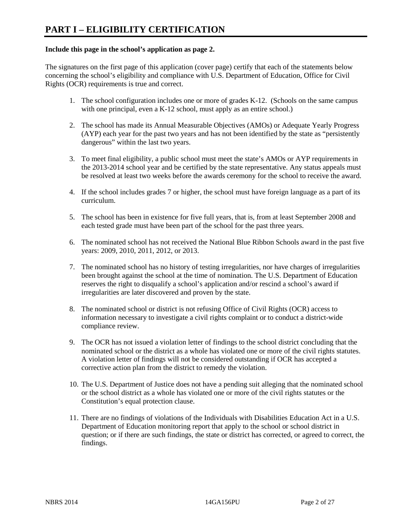#### **Include this page in the school's application as page 2.**

The signatures on the first page of this application (cover page) certify that each of the statements below concerning the school's eligibility and compliance with U.S. Department of Education, Office for Civil Rights (OCR) requirements is true and correct.

- 1. The school configuration includes one or more of grades K-12. (Schools on the same campus with one principal, even a K-12 school, must apply as an entire school.)
- 2. The school has made its Annual Measurable Objectives (AMOs) or Adequate Yearly Progress (AYP) each year for the past two years and has not been identified by the state as "persistently dangerous" within the last two years.
- 3. To meet final eligibility, a public school must meet the state's AMOs or AYP requirements in the 2013-2014 school year and be certified by the state representative. Any status appeals must be resolved at least two weeks before the awards ceremony for the school to receive the award.
- 4. If the school includes grades 7 or higher, the school must have foreign language as a part of its curriculum.
- 5. The school has been in existence for five full years, that is, from at least September 2008 and each tested grade must have been part of the school for the past three years.
- 6. The nominated school has not received the National Blue Ribbon Schools award in the past five years: 2009, 2010, 2011, 2012, or 2013.
- 7. The nominated school has no history of testing irregularities, nor have charges of irregularities been brought against the school at the time of nomination. The U.S. Department of Education reserves the right to disqualify a school's application and/or rescind a school's award if irregularities are later discovered and proven by the state.
- 8. The nominated school or district is not refusing Office of Civil Rights (OCR) access to information necessary to investigate a civil rights complaint or to conduct a district-wide compliance review.
- 9. The OCR has not issued a violation letter of findings to the school district concluding that the nominated school or the district as a whole has violated one or more of the civil rights statutes. A violation letter of findings will not be considered outstanding if OCR has accepted a corrective action plan from the district to remedy the violation.
- 10. The U.S. Department of Justice does not have a pending suit alleging that the nominated school or the school district as a whole has violated one or more of the civil rights statutes or the Constitution's equal protection clause.
- 11. There are no findings of violations of the Individuals with Disabilities Education Act in a U.S. Department of Education monitoring report that apply to the school or school district in question; or if there are such findings, the state or district has corrected, or agreed to correct, the findings.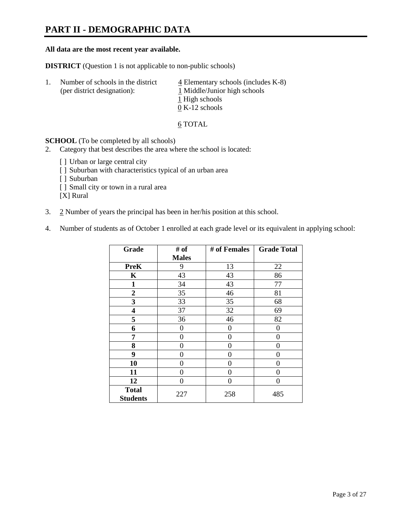# **PART II - DEMOGRAPHIC DATA**

#### **All data are the most recent year available.**

**DISTRICT** (Question 1 is not applicable to non-public schools)

| -1. | Number of schools in the district<br>(per district designation): | $\overline{4}$ Elementary schools (includes K-8)<br>1 Middle/Junior high schools |
|-----|------------------------------------------------------------------|----------------------------------------------------------------------------------|
|     |                                                                  | 1 High schools                                                                   |
|     |                                                                  | $0 K-12$ schools                                                                 |

6 TOTAL

**SCHOOL** (To be completed by all schools)

- 2. Category that best describes the area where the school is located:
	- [] Urban or large central city
	- [ ] Suburban with characteristics typical of an urban area
	- [ ] Suburban
	- [ ] Small city or town in a rural area

[X] Rural

- 3. 2 Number of years the principal has been in her/his position at this school.
- 4. Number of students as of October 1 enrolled at each grade level or its equivalent in applying school:

| Grade                           | # of         | # of Females | <b>Grade Total</b> |
|---------------------------------|--------------|--------------|--------------------|
|                                 | <b>Males</b> |              |                    |
| <b>PreK</b>                     | 9            | 13           | 22                 |
| K                               | 43           | 43           | 86                 |
| $\mathbf{1}$                    | 34           | 43           | 77                 |
| $\boldsymbol{2}$                | 35           | 46           | 81                 |
| 3                               | 33           | 35           | 68                 |
| 4                               | 37           | 32           | 69                 |
| 5                               | 36           | 46           | 82                 |
| 6                               | 0            | 0            | $\theta$           |
| 7                               | 0            | $\theta$     | $\theta$           |
| 8                               | 0            | 0            | 0                  |
| 9                               | 0            | 0            | 0                  |
| 10                              | 0            | 0            | 0                  |
| 11                              | 0            | 0            | 0                  |
| 12                              | 0            | $\theta$     | 0                  |
| <b>Total</b><br><b>Students</b> | 227          | 258          | 485                |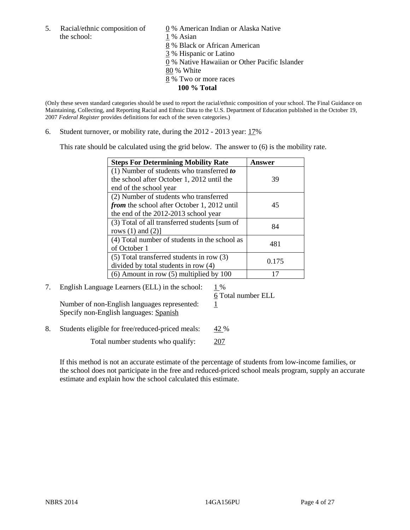5. Racial/ethnic composition of  $\qquad \qquad \underline{0}$  % American Indian or Alaska Native the school: 1 % Asian

 8 % Black or African American 3 % Hispanic or Latino 0 % Native Hawaiian or Other Pacific Islander 80 % White 8 % Two or more races **100 % Total** 

(Only these seven standard categories should be used to report the racial/ethnic composition of your school. The Final Guidance on Maintaining, Collecting, and Reporting Racial and Ethnic Data to the U.S. Department of Education published in the October 19, 2007 *Federal Register* provides definitions for each of the seven categories.)

6. Student turnover, or mobility rate, during the 2012 - 2013 year: 17%

This rate should be calculated using the grid below. The answer to (6) is the mobility rate.

| <b>Steps For Determining Mobility Rate</b>         | <b>Answer</b> |
|----------------------------------------------------|---------------|
| (1) Number of students who transferred to          |               |
| the school after October 1, 2012 until the         | 39            |
| end of the school year                             |               |
| (2) Number of students who transferred             |               |
| <i>from</i> the school after October 1, 2012 until | 45            |
| the end of the 2012-2013 school year               |               |
| (3) Total of all transferred students [sum of      | 84            |
| rows $(1)$ and $(2)$ ]                             |               |
| (4) Total number of students in the school as      | 481           |
| of October 1                                       |               |
| $(5)$ Total transferred students in row $(3)$      | 0.175         |
| divided by total students in row (4)               |               |
| $(6)$ Amount in row $(5)$ multiplied by 100        |               |

7. English Language Learners (ELL) in the school:  $1\%$ 

Number of non-English languages represented:  $1$ Specify non-English languages: Spanish

6 Total number ELL

8. Students eligible for free/reduced-priced meals: 42 %

Total number students who qualify: 207

If this method is not an accurate estimate of the percentage of students from low-income families, or the school does not participate in the free and reduced-priced school meals program, supply an accurate estimate and explain how the school calculated this estimate.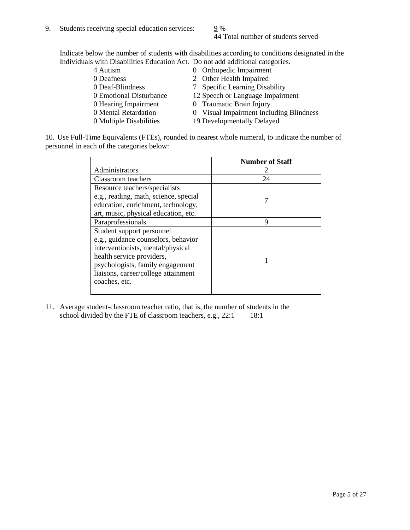44 Total number of students served

Indicate below the number of students with disabilities according to conditions designated in the Individuals with Disabilities Education Act. Do not add additional categories.

| 4 Autism                | 0 Orthopedic Impairment                 |
|-------------------------|-----------------------------------------|
| 0 Deafness              | 2 Other Health Impaired                 |
| 0 Deaf-Blindness        | <b>Specific Learning Disability</b>     |
| 0 Emotional Disturbance | 12 Speech or Language Impairment        |
| 0 Hearing Impairment    | 0 Traumatic Brain Injury                |
| 0 Mental Retardation    | 0 Visual Impairment Including Blindness |
| 0 Multiple Disabilities | 19 Developmentally Delayed              |
|                         |                                         |

10. Use Full-Time Equivalents (FTEs), rounded to nearest whole numeral, to indicate the number of personnel in each of the categories below:

|                                       | <b>Number of Staff</b> |
|---------------------------------------|------------------------|
| Administrators                        |                        |
| Classroom teachers                    | 24                     |
| Resource teachers/specialists         |                        |
| e.g., reading, math, science, special |                        |
| education, enrichment, technology,    |                        |
| art, music, physical education, etc.  |                        |
| Paraprofessionals                     | 9                      |
| Student support personnel             |                        |
| e.g., guidance counselors, behavior   |                        |
| interventionists, mental/physical     |                        |
| health service providers,             |                        |
| psychologists, family engagement      |                        |
| liaisons, career/college attainment   |                        |
| coaches, etc.                         |                        |
|                                       |                        |

11. Average student-classroom teacher ratio, that is, the number of students in the school divided by the FTE of classroom teachers, e.g.,  $22:1$  18:1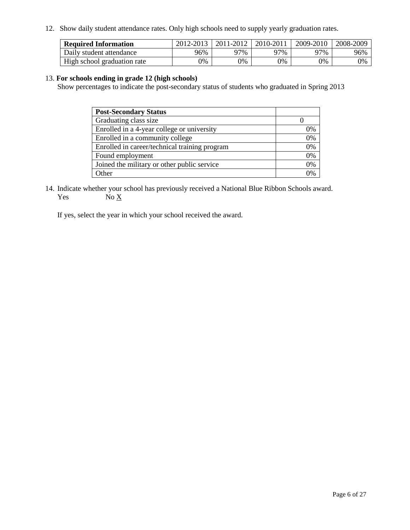12. Show daily student attendance rates. Only high schools need to supply yearly graduation rates.

| <b>Required Information</b> | 2012-2013 | 2011-2012 | 2010-2011 | 2009-2010 | 2008-2009 |
|-----------------------------|-----------|-----------|-----------|-----------|-----------|
| Daily student attendance    | 96%       | 97%       | 27%       | 97%       | 96%       |
| High school graduation rate | 0%        | 9%        | 0%        | 0%        | 0%        |

#### 13. **For schools ending in grade 12 (high schools)**

Show percentages to indicate the post-secondary status of students who graduated in Spring 2013

| <b>Post-Secondary Status</b>                  |    |
|-----------------------------------------------|----|
| Graduating class size                         |    |
| Enrolled in a 4-year college or university    | 0% |
| Enrolled in a community college               | 0% |
| Enrolled in career/technical training program | 0% |
| Found employment                              | 0% |
| Joined the military or other public service   | 0% |
| <b>Other</b>                                  | 2% |

14. Indicate whether your school has previously received a National Blue Ribbon Schools award. Yes  $No \underline{X}$ 

If yes, select the year in which your school received the award.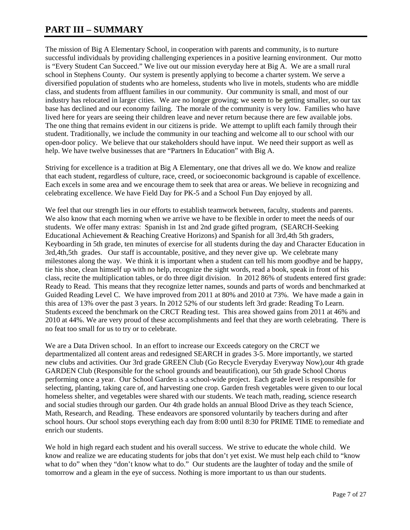# **PART III – SUMMARY**

The mission of Big A Elementary School, in cooperation with parents and community, is to nurture successful individuals by providing challenging experiences in a positive learning environment. Our motto is "Every Student Can Succeed." We live out our mission everyday here at Big A. We are a small rural school in Stephens County. Our system is presently applying to become a charter system. We serve a diversified population of students who are homeless, students who live in motels, students who are middle class, and students from affluent families in our community. Our community is small, and most of our industry has relocated in larger cities. We are no longer growing; we seem to be getting smaller, so our tax base has declined and our economy failing. The morale of the community is very low. Families who have lived here for years are seeing their children leave and never return because there are few available jobs. The one thing that remains evident in our citizens is pride. We attempt to uplift each family through their student. Traditionally, we include the community in our teaching and welcome all to our school with our open-door policy. We believe that our stakeholders should have input. We need their support as well as help. We have twelve businesses that are "Partners In Education" with Big A.

Striving for excellence is a tradition at Big A Elementary, one that drives all we do. We know and realize that each student, regardless of culture, race, creed, or socioeconomic background is capable of excellence. Each excels in some area and we encourage them to seek that area or areas. We believe in recognizing and celebrating excellence. We have Field Day for PK-5 and a School Fun Day enjoyed by all.

We feel that our strength lies in our efforts to establish teamwork between, faculty, students and parents. We also know that each morning when we arrive we have to be flexible in order to meet the needs of our students. We offer many extras: Spanish in 1st and 2nd grade gifted program, (SEARCH-Seeking Educational Achievement & Reaching Creative Horizons) and Spanish for all 3rd,4th 5th graders, Keyboarding in 5th grade, ten minutes of exercise for all students during the day and Character Education in 3rd,4th,5th grades. Our staff is accountable, positive, and they never give up. We celebrate many milestones along the way. We think it is important when a student can tell his mom goodbye and be happy, tie his shoe, clean himself up with no help, recognize the sight words, read a book, speak in front of his class, recite the multiplication tables, or do three digit division. In 2012 86% of students entered first grade: Ready to Read. This means that they recognize letter names, sounds and parts of words and benchmarked at Guided Reading Level C. We have improved from 2011 at 80% and 2010 at 73%. We have made a gain in this area of 13% over the past 3 years. In 2012 52% of our students left 3rd grade: Reading To Learn. Students exceed the benchmark on the CRCT Reading test. This area showed gains from 2011 at 46% and 2010 at 44%. We are very proud of these accomplishments and feel that they are worth celebrating. There is no feat too small for us to try or to celebrate.

We are a Data Driven school. In an effort to increase our Exceeds category on the CRCT we departmentalized all content areas and redesigned SEARCH in grades 3-5. More importantly, we started new clubs and activities. Our 3rd grade GREEN Club (Go Recycle Everyday Everyway Now),our 4th grade GARDEN Club (Responsible for the school grounds and beautification), our 5th grade School Chorus performing once a year. Our School Garden is a school-wide project. Each grade level is responsible for selecting, planting, taking care of, and harvesting one crop. Garden fresh vegetables were given to our local homeless shelter, and vegetables were shared with our students. We teach math, reading, science research and social studies through our garden. Our 4th grade holds an annual Blood Drive as they teach Science, Math, Research, and Reading. These endeavors are sponsored voluntarily by teachers during and after school hours. Our school stops everything each day from 8:00 until 8:30 for PRIME TIME to remediate and enrich our students.

We hold in high regard each student and his overall success. We strive to educate the whole child. We know and realize we are educating students for jobs that don't yet exist. We must help each child to "know what to do" when they "don't know what to do." Our students are the laughter of today and the smile of tomorrow and a gleam in the eye of success. Nothing is more important to us than our students.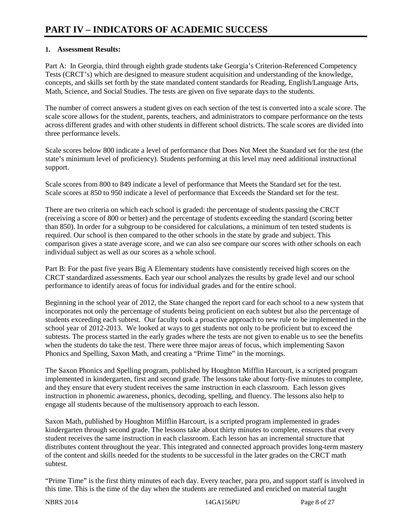### **1. Assessment Results:**

Part A: In Georgia, third through eighth grade students take Georgia's Criterion-Referenced Competency Tests (CRCT's) which are designed to measure student acquisition and understanding of the knowledge, concepts, and skills set forth by the state mandated content standards for Reading, English/Language Arts, Math, Science, and Social Studies. The tests are given on five separate days to the students.

The number of correct answers a student gives on each section of the test is converted into a scale score. The scale score allows for the student, parents, teachers, and administrators to compare performance on the tests across different grades and with other students in different school districts. The scale scores are divided into three performance levels.

Scale scores below 800 indicate a level of performance that Does Not Meet the Standard set for the test (the state's minimum level of proficiency). Students performing at this level may need additional instructional support.

Scale scores from 800 to 849 indicate a level of performance that Meets the Standard set for the test. Scale scores at 850 to 950 indicate a level of performance that Exceeds the Standard set for the test.

There are two criteria on which each school is graded: the percentage of students passing the CRCT (receiving a score of 800 or better) and the percentage of students exceeding the standard (scoring better than 850). In order for a subgroup to be considered for calculations, a minimum of ten tested students is required. Our school is then compared to the other schools in the state by grade and subject. This comparison gives a state average score, and we can also see compare our scores with other schools on each individual subject as well as our scores as a whole school.

Part B: For the past five years Big A Elementary students have consistently received high scores on the CRCT standardized assessments. Each year our school analyzes the results by grade level and our school performance to identify areas of focus for individual grades and for the entire school.

Beginning in the school year of 2012, the State changed the report card for each school to a new system that incorporates not only the percentage of students being proficient on each subtest but also the percentage of students exceeding each subtest. Our faculty took a proactive approach to new rule to be implemented in the school year of 2012-2013. We looked at ways to get students not only to be proficient but to exceed the subtests. The process started in the early grades where the tests are not given to enable us to see the benefits when the students do take the test. There were three major areas of focus, which implementing Saxon Phonics and Spelling, Saxon Math, and creating a "Prime Time" in the mornings.

The Saxon Phonics and Spelling program, published by Houghton Mifflin Harcourt, is a scripted program implemented in kindergarten, first and second grade. The lessons take about forty-five minutes to complete, and they ensure that every student receives the same instruction in each classroom. Each lesson gives instruction in phonemic awareness, phonics, decoding, spelling, and fluency. The lessons also help to engage all students because of the multisensory approach to each lesson.

Saxon Math, published by Houghton Mifflin Harcourt, is a scripted program implemented in grades kindergarten through second grade. The lessons take about thirty minutes to complete, ensures that every student receives the same instruction in each classroom. Each lesson has an incremental structure that distributes content throughout the year. This integrated and connected approach provides long-term mastery of the content and skills needed for the students to be successful in the later grades on the CRCT math subtest.

"Prime Time" is the first thirty minutes of each day. Every teacher, para pro, and support staff is involved in this time. This is the time of the day when the students are remediated and enriched on material taught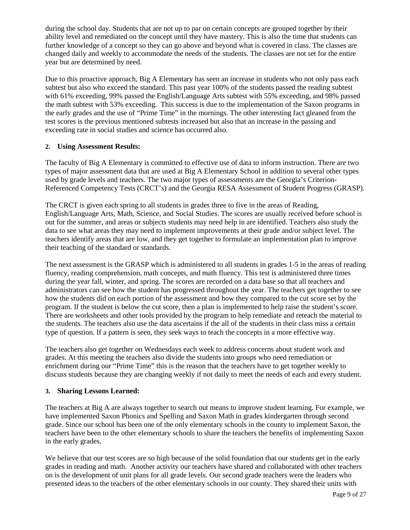during the school day. Students that are not up to par on certain concepts are grouped together by their ability level and remediated on the concept until they have mastery. This is also the time that students can further knowledge of a concept so they can go above and beyond what is covered in class. The classes are changed daily and weekly to accommodate the needs of the students. The classes are not set for the entire year but are determined by need.

Due to this proactive approach, Big A Elementary has seen an increase in students who not only pass each subtest but also who exceed the standard. This past year 100% of the students passed the reading subtest with 61% exceeding, 99% passed the English/Language Arts subtest with 55% exceeding, and 98% passed the math subtest with 53% exceeding. This success is due to the implementation of the Saxon programs in the early grades and the use of "Prime Time" in the mornings. The other interesting fact gleaned from the test scores is the previous mentioned subtests increased but also that an increase in the passing and exceeding rate in social studies and science has occurred also.

#### **2. Using Assessment Results:**

The faculty of Big A Elementary is committed to effective use of data to inform instruction. There are two types of major assessment data that are used at Big A Elementary School in addition to several other types used by grade levels and teachers. The two major types of assessments are the Georgia's Criterion-Referenced Competency Tests (CRCT's) and the Georgia RESA Assessment of Student Progress (GRASP).

The CRCT is given each spring to all students in grades three to five in the areas of Reading, English/Language Arts, Math, Science, and Social Studies. The scores are usually received before school is out for the summer, and areas or subjects students may need help in are identified. Teachers also study the data to see what areas they may need to implement improvements at their grade and/or subject level. The teachers identify areas that are low, and they get together to formulate an implementation plan to improve their teaching of the standard or standards.

The next assessment is the GRASP which is administered to all students in grades 1-5 in the areas of reading fluency, reading comprehension, math concepts, and math fluency. This test is administered three times during the year fall, winter, and spring. The scores are recorded on a data base so that all teachers and administrators can see how the student has progressed throughout the year. The teachers get together to see how the students did on each portion of the assessment and how they compared to the cut score set by the program. If the student is below the cut score, then a plan is implemented to help raise the student's score. There are worksheets and other tools provided by the program to help remediate and reteach the material to the students. The teachers also use the data ascertains if the all of the students in their class miss a certain type of question. If a pattern is seen, they seek ways to teach the concepts in a more effective way.

The teachers also get together on Wednesdays each week to address concerns about student work and grades. At this meeting the teachers also divide the students into groups who need remediation or enrichment during our "Prime Time" this is the reason that the teachers have to get together weekly to discuss students because they are changing weekly if not daily to meet the needs of each and every student.

#### **3. Sharing Lessons Learned:**

The teachers at Big A are always together to search out means to improve student learning. For example, we have implemented Saxon Phonics and Spelling and Saxon Math in grades kindergarten through second grade. Since our school has been one of the only elementary schools in the county to implement Saxon, the teachers have been to the other elementary schools to share the teachers the benefits of implementing Saxon in the early grades.

We believe that our test scores are so high because of the solid foundation that our students get in the early grades in reading and math. Another activity our teachers have shared and collaborated with other teachers on is the development of unit plans for all grade levels. Our second grade teachers were the leaders who presented ideas to the teachers of the other elementary schools in our county. They shared their units with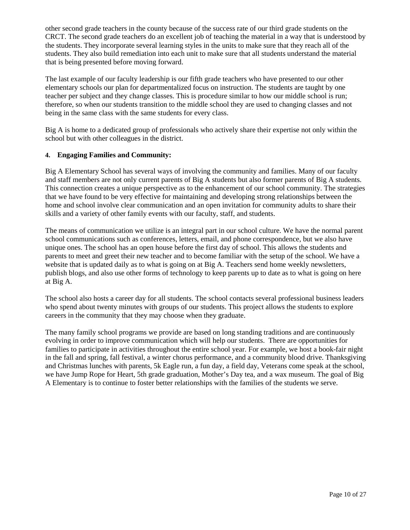other second grade teachers in the county because of the success rate of our third grade students on the CRCT. The second grade teachers do an excellent job of teaching the material in a way that is understood by the students. They incorporate several learning styles in the units to make sure that they reach all of the students. They also build remediation into each unit to make sure that all students understand the material that is being presented before moving forward.

The last example of our faculty leadership is our fifth grade teachers who have presented to our other elementary schools our plan for departmentalized focus on instruction. The students are taught by one teacher per subject and they change classes. This is procedure similar to how our middle school is run; therefore, so when our students transition to the middle school they are used to changing classes and not being in the same class with the same students for every class.

Big A is home to a dedicated group of professionals who actively share their expertise not only within the school but with other colleagues in the district.

#### **4. Engaging Families and Community:**

Big A Elementary School has several ways of involving the community and families. Many of our faculty and staff members are not only current parents of Big A students but also former parents of Big A students. This connection creates a unique perspective as to the enhancement of our school community. The strategies that we have found to be very effective for maintaining and developing strong relationships between the home and school involve clear communication and an open invitation for community adults to share their skills and a variety of other family events with our faculty, staff, and students.

The means of communication we utilize is an integral part in our school culture. We have the normal parent school communications such as conferences, letters, email, and phone correspondence, but we also have unique ones. The school has an open house before the first day of school. This allows the students and parents to meet and greet their new teacher and to become familiar with the setup of the school. We have a website that is updated daily as to what is going on at Big A. Teachers send home weekly newsletters, publish blogs, and also use other forms of technology to keep parents up to date as to what is going on here at Big A.

The school also hosts a career day for all students. The school contacts several professional business leaders who spend about twenty minutes with groups of our students. This project allows the students to explore careers in the community that they may choose when they graduate.

The many family school programs we provide are based on long standing traditions and are continuously evolving in order to improve communication which will help our students. There are opportunities for families to participate in activities throughout the entire school year. For example, we host a book-fair night in the fall and spring, fall festival, a winter chorus performance, and a community blood drive. Thanksgiving and Christmas lunches with parents, 5k Eagle run, a fun day, a field day, Veterans come speak at the school, we have Jump Rope for Heart, 5th grade graduation, Mother's Day tea, and a wax museum. The goal of Big A Elementary is to continue to foster better relationships with the families of the students we serve.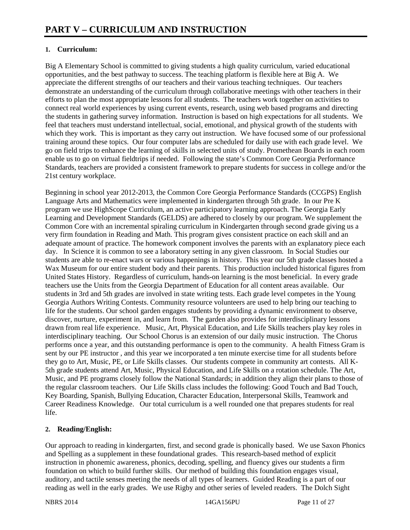### **1. Curriculum:**

Big A Elementary School is committed to giving students a high quality curriculum, varied educational opportunities, and the best pathway to success. The teaching platform is flexible here at Big A. We appreciate the different strengths of our teachers and their various teaching techniques. Our teachers demonstrate an understanding of the curriculum through collaborative meetings with other teachers in their efforts to plan the most appropriate lessons for all students. The teachers work together on activities to connect real world experiences by using current events, research, using web based programs and directing the students in gathering survey information. Instruction is based on high expectations for all students. We feel that teachers must understand intellectual, social, emotional, and physical growth of the students with which they work. This is important as they carry out instruction. We have focused some of our professional training around these topics. Our four computer labs are scheduled for daily use with each grade level. We go on field trips to enhance the learning of skills in selected units of study. Promethean Boards in each room enable us to go on virtual fieldtrips if needed. Following the state's Common Core Georgia Performance Standards, teachers are provided a consistent framework to prepare students for success in college and/or the 21st century workplace.

Beginning in school year 2012-2013, the Common Core Georgia Performance Standards (CCGPS) English Language Arts and Mathematics were implemented in kindergarten through 5th grade. In our Pre K program we use HighScope Curriculum, an active participatory learning approach. The Georgia Early Learning and Development Standards (GELDS) are adhered to closely by our program. We supplement the Common Core with an incremental spiraling curriculum in Kindergarten through second grade giving us a very firm foundation in Reading and Math. This program gives consistent practice on each skill and an adequate amount of practice. The homework component involves the parents with an explanatory piece each day. In Science it is common to see a laboratory setting in any given classroom. In Social Studies our students are able to re-enact wars or various happenings in history. This year our 5th grade classes hosted a Wax Museum for our entire student body and their parents. This production included historical figures from United States History. Regardless of curriculum, hands-on learning is the most beneficial. In every grade teachers use the Units from the Georgia Department of Education for all content areas available. Our students in 3rd and 5th grades are involved in state writing tests. Each grade level competes in the Young Georgia Authors Writing Contests. Community resource volunteers are used to help bring our teaching to life for the students. Our school garden engages students by providing a dynamic environment to observe, discover, nurture, experiment in, and learn from. The garden also provides for interdisciplinary lessons drawn from real life experience. Music, Art, Physical Education, and Life Skills teachers play key roles in interdisciplinary teaching. Our School Chorus is an extension of our daily music instruction. The Chorus performs once a year, and this outstanding performance is open to the community. A health Fitness Gram is sent by our PE instructor , and this year we incorporated a ten minute exercise time for all students before they go to Art, Music, PE, or Life Skills classes. Our students compete in community art contests. All K-5th grade students attend Art, Music, Physical Education, and Life Skills on a rotation schedule. The Art, Music, and PE programs closely follow the National Standards; in addition they align their plans to those of the regular classroom teachers. Our Life Skills class includes the following: Good Touch and Bad Touch, Key Boarding, Spanish, Bullying Education, Character Education, Interpersonal Skills, Teamwork and Career Readiness Knowledge. Our total curriculum is a well rounded one that prepares students for real life.

### **2. Reading/English:**

Our approach to reading in kindergarten, first, and second grade is phonically based. We use Saxon Phonics and Spelling as a supplement in these foundational grades. This research-based method of explicit instruction in phonemic awareness, phonics, decoding, spelling, and fluency gives our students a firm foundation on which to build further skills. Our method of building this foundation engages visual, auditory, and tactile senses meeting the needs of all types of learners. Guided Reading is a part of our reading as well in the early grades. We use Rigby and other series of leveled readers. The Dolch Sight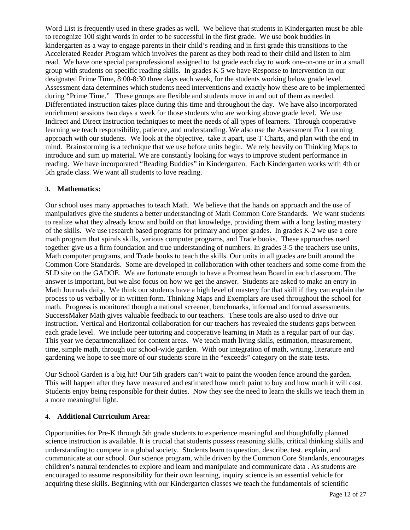Word List is frequently used in these grades as well. We believe that students in Kindergarten must be able to recognize 100 sight words in order to be successful in the first grade. We use book buddies in kindergarten as a way to engage parents in their child's reading and in first grade this transitions to the Accelerated Reader Program which involves the parent as they both read to their child and listen to him read. We have one special paraprofessional assigned to 1st grade each day to work one-on-one or in a small group with students on specific reading skills. In grades K-5 we have Response to Intervention in our designated Prime Time, 8:00-8:30 three days each week, for the students working below grade level. Assessment data determines which students need interventions and exactly how these are to be implemented during "Prime Time." These groups are flexible and students move in and out of them as needed. Differentiated instruction takes place during this time and throughout the day. We have also incorporated enrichment sessions two days a week for those students who are working above grade level. We use Indirect and Direct Instruction techniques to meet the needs of all types of learners. Through cooperative learning we teach responsibility, patience, and understanding. We also use the Assessment For Learning approach with our students. We look at the objective, take it apart, use T Charts, and plan with the end in mind. Brainstorming is a technique that we use before units begin. We rely heavily on Thinking Maps to introduce and sum up material. We are constantly looking for ways to improve student performance in reading. We have incorporated "Reading Buddies" in Kindergarten. Each Kindergarten works with 4th or 5th grade class. We want all students to love reading.

#### **3. Mathematics:**

Our school uses many approaches to teach Math. We believe that the hands on approach and the use of manipulatives give the students a better understanding of Math Common Core Standards. We want students to realize what they already know and build on that knowledge, providing them with a long lasting mastery of the skills. We use research based programs for primary and upper grades. In grades K-2 we use a core math program that spirals skills, various computer programs, and Trade books. These approaches used together give us a firm foundation and true understanding of numbers. In grades 3-5 the teachers use units, Math computer programs, and Trade books to teach the skills. Our units in all grades are built around the Common Core Standards. Some are developed in collaboration with other teachers and some come from the SLD site on the GADOE. We are fortunate enough to have a Promeathean Board in each classroom. The answer is important, but we also focus on how we get the answer. Students are asked to make an entry in Math Journals daily. We think our students have a high level of mastery for that skill if they can explain the process to us verbally or in written form. Thinking Maps and Exemplars are used throughout the school for math. Progress is monitored though a national screener, benchmarks, informal and formal assessments. SuccessMaker Math gives valuable feedback to our teachers. These tools are also used to drive our instruction. Vertical and Horizontal collaboration for our teachers has revealed the students gaps between each grade level. We include peer tutoring and cooperative learning in Math as a regular part of our day. This year we departmentalized for content areas. We teach math living skills, estimation, measurement, time, simple math, through our school-wide garden. With our integration of math, writing, literature and gardening we hope to see more of our students score in the "exceeds" category on the state tests.

Our School Garden is a big hit! Our 5th graders can't wait to paint the wooden fence around the garden. This will happen after they have measured and estimated how much paint to buy and how much it will cost. Students enjoy being responsible for their duties. Now they see the need to learn the skills we teach them in a more meaningful light.

#### **4. Additional Curriculum Area:**

Opportunities for Pre-K through 5th grade students to experience meaningful and thoughtfully planned science instruction is available. It is crucial that students possess reasoning skills, critical thinking skills and understanding to compete in a global society. Students learn to question, describe, test, explain, and communicate at our school. Our science program, while driven by the Common Core Standards, encourages children's natural tendencies to explore and learn and manipulate and communicate data . As students are encouraged to assume responsibility for their own learning, inquiry science is an essential vehicle for acquiring these skills. Beginning with our Kindergarten classes we teach the fundamentals of scientific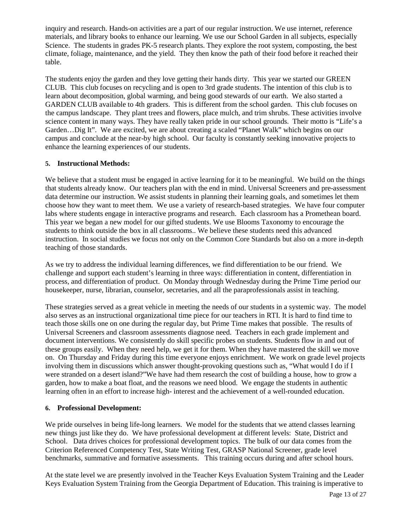inquiry and research. Hands-on activities are a part of our regular instruction. We use internet, reference materials, and library books to enhance our learning. We use our School Garden in all subjects, especially Science. The students in grades PK-5 research plants. They explore the root system, composting, the best climate, foliage, maintenance, and the yield. They then know the path of their food before it reached their table.

The students enjoy the garden and they love getting their hands dirty. This year we started our GREEN CLUB. This club focuses on recycling and is open to 3rd grade students. The intention of this club is to learn about decomposition, global warming, and being good stewards of our earth. We also started a GARDEN CLUB available to 4th graders. This is different from the school garden. This club focuses on the campus landscape. They plant trees and flowers, place mulch, and trim shrubs. These activities involve science content in many ways. They have really taken pride in our school grounds. Their motto is "Life's a Garden…Dig It". We are excited, we are about creating a scaled "Planet Walk" which begins on our campus and conclude at the near-by high school. Our faculty is constantly seeking innovative projects to enhance the learning experiences of our students.

#### **5. Instructional Methods:**

We believe that a student must be engaged in active learning for it to be meaningful. We build on the things that students already know. Our teachers plan with the end in mind. Universal Screeners and pre-assessment data determine our instruction. We assist students in planning their learning goals, and sometimes let them choose how they want to meet them. We use a variety of research-based strategies. We have four computer labs where students engage in interactive programs and research. Each classroom has a Promethean board. This year we began a new model for our gifted students. We use Blooms Taxonomy to encourage the students to think outside the box in all classrooms.. We believe these students need this advanced instruction. In social studies we focus not only on the Common Core Standards but also on a more in-depth teaching of those standards.

As we try to address the individual learning differences, we find differentiation to be our friend. We challenge and support each student's learning in three ways: differentiation in content, differentiation in process, and differentiation of product. On Monday through Wednesday during the Prime Time period our housekeeper, nurse, librarian, counselor, secretaries, and all the paraprofessionals assist in teaching.

These strategies served as a great vehicle in meeting the needs of our students in a systemic way. The model also serves as an instructional organizational time piece for our teachers in RTI. It is hard to find time to teach those skills one on one during the regular day, but Prime Time makes that possible. The results of Universal Screeners and classroom assessments diagnose need. Teachers in each grade implement and document interventions. We consistently do skill specific probes on students. Students flow in and out of these groups easily. When they need help, we get it for them. When they have mastered the skill we move on. On Thursday and Friday during this time everyone enjoys enrichment. We work on grade level projects involving them in discussions which answer thought-provoking questions such as, "What would I do if I were stranded on a desert island?"We have had them research the cost of building a house, how to grow a garden, how to make a boat float, and the reasons we need blood. We engage the students in authentic learning often in an effort to increase high- interest and the achievement of a well-rounded education.

#### **6. Professional Development:**

We pride ourselves in being life-long learners. We model for the students that we attend classes learning new things just like they do. We have professional development at different levels: State, District and School. Data drives choices for professional development topics. The bulk of our data comes from the Criterion Referenced Competency Test, State Writing Test, GRASP National Screener, grade level benchmarks, summative and formative assessments. This training occurs during and after school hours.

At the state level we are presently involved in the Teacher Keys Evaluation System Training and the Leader Keys Evaluation System Training from the Georgia Department of Education. This training is imperative to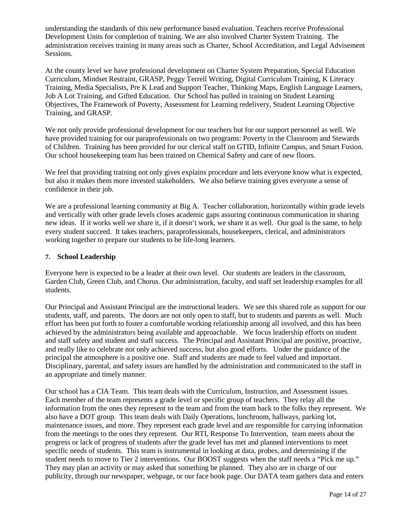understanding the standards of this new performance based evaluation. Teachers receive Professional Development Units for completion of training. We are also involved Charter System Training. The administration receives training in many areas such as Charter, School Accreditation, and Legal Advisement Sessions.

At the county level we have professional development on Charter System Preparation, Special Education Curriculum, Mindset Restraint, GRASP, Peggy Terrell Writing, Digital Curriculum Training, K Literacy Training, Media Specialists, Pre K Lead and Support Teacher, Thinking Maps, English Language Learners, Job A Lot Training, and Gifted Education. Our School has pulled in training on Student Learning Objectives, The Framework of Poverty, Assessment for Learning redelivery, Student Learning Objective Training, and GRASP.

We not only provide professional development for our teachers but for our support personnel as well. We have provided training for our paraprofessionals on two programs: Poverty in the Classroom and Stewards of Children. Training has been provided for our clerical staff on GTID, Infinite Campus, and Smart Fusion. Our school housekeeping team has been trained on Chemical Safety and care of new floors.

We feel that providing training not only gives explains procedure and lets everyone know what is expected, but also it makes them more invested stakeholders. We also believe training gives everyone a sense of confidence in their job.

We are a professional learning community at Big A. Teacher collaboration, horizontally within grade levels and vertically with other grade levels closes academic gaps assuring continuous communication in sharing new ideas. If it works well we share it, if it doesn't work, we share it as well. Our goal is the same, to help every student succeed. It takes teachers, paraprofessionals, housekeepers, clerical, and administrators working together to prepare our students to be life-long learners.

#### **7. School Leadership**

Everyone here is expected to be a leader at their own level. Our students are leaders in the classroom, Garden Club, Green Club, and Chorus. Our administration, faculty, and staff set leadership examples for all students.

Our Principal and Assistant Principal are the instructional leaders. We see this shared role as support for our students, staff, and parents. The doors are not only open to staff, but to students and parents as well. Much effort has been put forth to foster a comfortable working relationship among all involved, and this has been achieved by the administrators being available and approachable. We focus leadership efforts on student and staff safety and student and staff success. The Principal and Assistant Principal are positive, proactive, and really like to celebrate not only achieved success, but also good efforts. Under the guidance of the principal the atmosphere is a positive one. Staff and students are made to feel valued and important. Disciplinary, parental, and safety issues are handled by the administration and communicated to the staff in an appropriate and timely manner.

Our school has a CIA Team. This team deals with the Curriculum, Instruction, and Assessment issues. Each member of the team represents a grade level or specific group of teachers. They relay all the information from the ones they represent to the team and from the team back to the folks they represent. We also have a DOT group. This team deals with Daily Operations, lunchroom, hallways, parking lot, maintenance issues, and more. They represent each grade level and are responsible for carrying information from the meetings to the ones they represent. Our RTI, Response To Intervention, team meets about the progress or lack of progress of students after the grade level has met and planned interventions to meet specific needs of students. This team is instrumental in looking at data, probes, and determining if the student needs to move to Tier 2 interventions. Our BOOST suggests when the staff needs a "Pick me up." They may plan an activity or may asked that something be planned. They also are in charge of our publicity, through our newspaper, webpage, or our face book page. Our DATA team gathers data and enters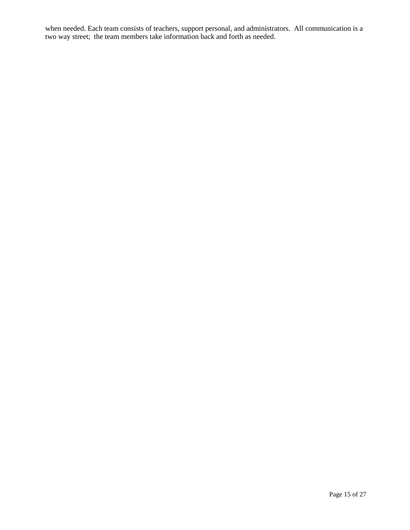when needed. Each team consists of teachers, support personal, and administrators. All communication is a two way street; the team members take information back and forth as needed.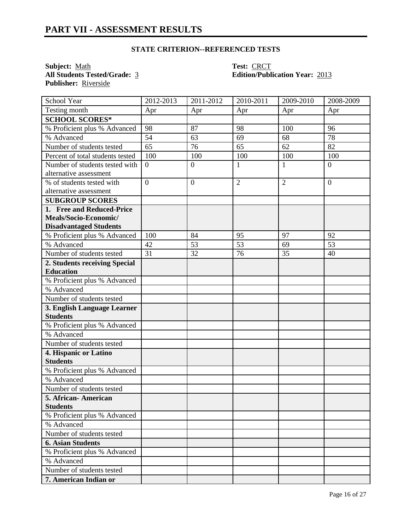**Subject:** <u>Math</u> **Test:** <u>CRCT</u><br> **All Students Tested/Grade:** 3 **CRCT**<br> **Edition/Publi Publisher:** Riverside

# **All Students Tested/Grade:** 3 **Edition/Publication Year:** 2013

| <b>School Year</b>                             | 2012-2013      | 2011-2012    | 2010-2011      | 2009-2010      | 2008-2009        |
|------------------------------------------------|----------------|--------------|----------------|----------------|------------------|
| Testing month                                  | Apr            | Apr          | Apr            | Apr            | Apr              |
| <b>SCHOOL SCORES*</b>                          |                |              |                |                |                  |
| % Proficient plus % Advanced                   | 98             | 87           | 98             | 100            | 96               |
| % Advanced                                     | 54             | 63           | 69             | 68             | 78               |
| Number of students tested                      | 65             | 76           | 65             | 62             | 82               |
| Percent of total students tested               | 100            | 100          | 100            | 100            | 100              |
| Number of students tested with                 | $\overline{0}$ | $\mathbf{0}$ | $\mathbf{1}$   | $\mathbf{1}$   | $\boldsymbol{0}$ |
| alternative assessment                         |                |              |                |                |                  |
| % of students tested with                      | $\overline{0}$ | $\mathbf{0}$ | $\overline{2}$ | $\overline{2}$ | $\overline{0}$   |
| alternative assessment                         |                |              |                |                |                  |
| <b>SUBGROUP SCORES</b>                         |                |              |                |                |                  |
| 1. Free and Reduced-Price                      |                |              |                |                |                  |
| Meals/Socio-Economic/                          |                |              |                |                |                  |
| <b>Disadvantaged Students</b>                  |                |              |                |                |                  |
| % Proficient plus % Advanced                   | 100            | 84           | 95             | 97             | 92               |
| % Advanced                                     | 42             | 53           | 53             | 69             | 53               |
| Number of students tested                      | 31             | 32           | 76             | 35             | 40               |
| 2. Students receiving Special                  |                |              |                |                |                  |
| <b>Education</b>                               |                |              |                |                |                  |
| % Proficient plus % Advanced                   |                |              |                |                |                  |
| % Advanced                                     |                |              |                |                |                  |
| Number of students tested                      |                |              |                |                |                  |
| 3. English Language Learner<br><b>Students</b> |                |              |                |                |                  |
| % Proficient plus % Advanced                   |                |              |                |                |                  |
| % Advanced                                     |                |              |                |                |                  |
| Number of students tested                      |                |              |                |                |                  |
| 4. Hispanic or Latino                          |                |              |                |                |                  |
| <b>Students</b>                                |                |              |                |                |                  |
| % Proficient plus % Advanced                   |                |              |                |                |                  |
| % Advanced                                     |                |              |                |                |                  |
| Number of students tested                      |                |              |                |                |                  |
| 5. African-American                            |                |              |                |                |                  |
| <b>Students</b>                                |                |              |                |                |                  |
| % Proficient plus % Advanced                   |                |              |                |                |                  |
| % Advanced                                     |                |              |                |                |                  |
| Number of students tested                      |                |              |                |                |                  |
| <b>6. Asian Students</b>                       |                |              |                |                |                  |
| % Proficient plus % Advanced                   |                |              |                |                |                  |
| % Advanced                                     |                |              |                |                |                  |
| Number of students tested                      |                |              |                |                |                  |
| 7. American Indian or                          |                |              |                |                |                  |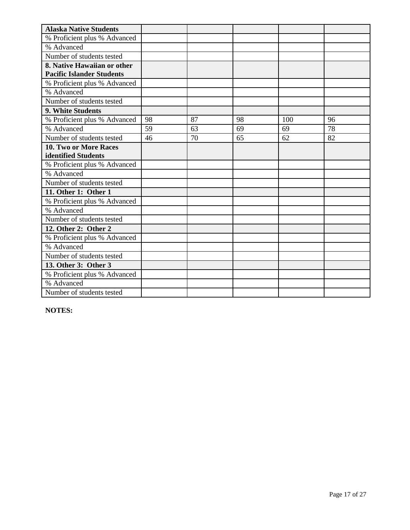| <b>Alaska Native Students</b>    |    |    |    |     |    |
|----------------------------------|----|----|----|-----|----|
| % Proficient plus % Advanced     |    |    |    |     |    |
| % Advanced                       |    |    |    |     |    |
| Number of students tested        |    |    |    |     |    |
| 8. Native Hawaiian or other      |    |    |    |     |    |
| <b>Pacific Islander Students</b> |    |    |    |     |    |
| % Proficient plus % Advanced     |    |    |    |     |    |
| % Advanced                       |    |    |    |     |    |
| Number of students tested        |    |    |    |     |    |
| 9. White Students                |    |    |    |     |    |
| % Proficient plus % Advanced     | 98 | 87 | 98 | 100 | 96 |
| % Advanced                       | 59 | 63 | 69 | 69  | 78 |
| Number of students tested        | 46 | 70 | 65 | 62  | 82 |
| 10. Two or More Races            |    |    |    |     |    |
| identified Students              |    |    |    |     |    |
| % Proficient plus % Advanced     |    |    |    |     |    |
| % Advanced                       |    |    |    |     |    |
| Number of students tested        |    |    |    |     |    |
| 11. Other 1: Other 1             |    |    |    |     |    |
| % Proficient plus % Advanced     |    |    |    |     |    |
| % Advanced                       |    |    |    |     |    |
| Number of students tested        |    |    |    |     |    |
| 12. Other 2: Other 2             |    |    |    |     |    |
| % Proficient plus % Advanced     |    |    |    |     |    |
| % Advanced                       |    |    |    |     |    |
| Number of students tested        |    |    |    |     |    |
| 13. Other 3: Other 3             |    |    |    |     |    |
| % Proficient plus % Advanced     |    |    |    |     |    |
| % Advanced                       |    |    |    |     |    |
| Number of students tested        |    |    |    |     |    |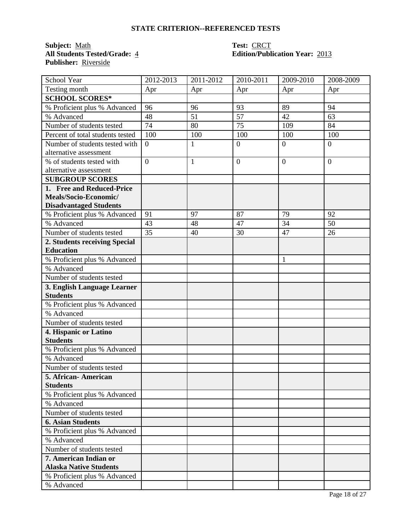**Subject:** <u>Math</u> **Test:** <u>CRCT</u><br> **All Students Tested/Grade:** 4 **CONT**<br> **Edition/Public CONT Publisher:** Riverside

# **All Students Tested/Grade:** 4 **Edition/Publication Year:** 2013

| School Year                      | 2012-2013        | 2011-2012    | 2010-2011      | 2009-2010       | 2008-2009       |
|----------------------------------|------------------|--------------|----------------|-----------------|-----------------|
| Testing month                    | Apr              | Apr          | Apr            | Apr             | Apr             |
| <b>SCHOOL SCORES*</b>            |                  |              |                |                 |                 |
| % Proficient plus % Advanced     | 96               | 96           | 93             | 89              | 94              |
| % Advanced                       | 48               | 51           | 57             | 42              | 63              |
| Number of students tested        | 74               | 80           | 75             | 109             | 84              |
| Percent of total students tested | 100              | 100          | 100            | 100             | 100             |
| Number of students tested with   | $\boldsymbol{0}$ | $\mathbf{1}$ | $\overline{0}$ | $\overline{0}$  | $\theta$        |
| alternative assessment           |                  |              |                |                 |                 |
| % of students tested with        | $\overline{0}$   | $\mathbf{1}$ | $\overline{0}$ | $\overline{0}$  | $\theta$        |
| alternative assessment           |                  |              |                |                 |                 |
| <b>SUBGROUP SCORES</b>           |                  |              |                |                 |                 |
| 1. Free and Reduced-Price        |                  |              |                |                 |                 |
| Meals/Socio-Economic/            |                  |              |                |                 |                 |
| <b>Disadvantaged Students</b>    |                  |              |                |                 |                 |
| % Proficient plus % Advanced     | 91               | 97           | 87             | 79              | 92              |
| % Advanced                       | 43               | 48           | 47             | $\overline{34}$ | $\overline{50}$ |
| Number of students tested        | 35               | 40           | 30             | 47              | 26              |
| 2. Students receiving Special    |                  |              |                |                 |                 |
| <b>Education</b>                 |                  |              |                |                 |                 |
| % Proficient plus % Advanced     |                  |              |                | 1               |                 |
| % Advanced                       |                  |              |                |                 |                 |
| Number of students tested        |                  |              |                |                 |                 |
| 3. English Language Learner      |                  |              |                |                 |                 |
| <b>Students</b>                  |                  |              |                |                 |                 |
| % Proficient plus % Advanced     |                  |              |                |                 |                 |
| % Advanced                       |                  |              |                |                 |                 |
| Number of students tested        |                  |              |                |                 |                 |
| 4. Hispanic or Latino            |                  |              |                |                 |                 |
| <b>Students</b>                  |                  |              |                |                 |                 |
| % Proficient plus % Advanced     |                  |              |                |                 |                 |
| % Advanced                       |                  |              |                |                 |                 |
| Number of students tested        |                  |              |                |                 |                 |
| 5. African- American             |                  |              |                |                 |                 |
| <b>Students</b>                  |                  |              |                |                 |                 |
| % Proficient plus % Advanced     |                  |              |                |                 |                 |
| % Advanced                       |                  |              |                |                 |                 |
| Number of students tested        |                  |              |                |                 |                 |
| <b>6. Asian Students</b>         |                  |              |                |                 |                 |
| % Proficient plus % Advanced     |                  |              |                |                 |                 |
| % Advanced                       |                  |              |                |                 |                 |
| Number of students tested        |                  |              |                |                 |                 |
| 7. American Indian or            |                  |              |                |                 |                 |
| <b>Alaska Native Students</b>    |                  |              |                |                 |                 |
| % Proficient plus % Advanced     |                  |              |                |                 |                 |
| % Advanced                       |                  |              |                |                 |                 |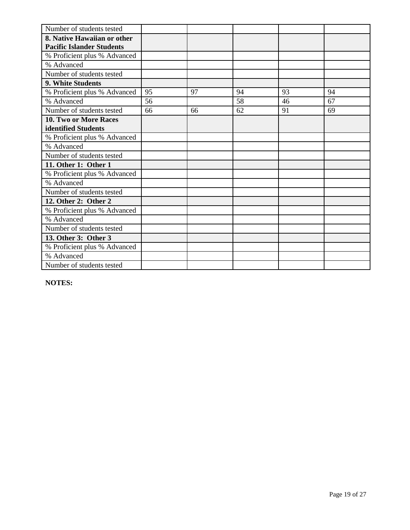| Number of students tested        |    |    |    |    |    |
|----------------------------------|----|----|----|----|----|
| 8. Native Hawaiian or other      |    |    |    |    |    |
| <b>Pacific Islander Students</b> |    |    |    |    |    |
| % Proficient plus % Advanced     |    |    |    |    |    |
| % Advanced                       |    |    |    |    |    |
| Number of students tested        |    |    |    |    |    |
| <b>9. White Students</b>         |    |    |    |    |    |
| % Proficient plus % Advanced     | 95 | 97 | 94 | 93 | 94 |
| % Advanced                       | 56 |    | 58 | 46 | 67 |
| Number of students tested        | 66 | 66 | 62 | 91 | 69 |
| 10. Two or More Races            |    |    |    |    |    |
| identified Students              |    |    |    |    |    |
| % Proficient plus % Advanced     |    |    |    |    |    |
| % Advanced                       |    |    |    |    |    |
| Number of students tested        |    |    |    |    |    |
| 11. Other 1: Other 1             |    |    |    |    |    |
| % Proficient plus % Advanced     |    |    |    |    |    |
| % Advanced                       |    |    |    |    |    |
| Number of students tested        |    |    |    |    |    |
| 12. Other 2: Other 2             |    |    |    |    |    |
| % Proficient plus % Advanced     |    |    |    |    |    |
| % Advanced                       |    |    |    |    |    |
| Number of students tested        |    |    |    |    |    |
| 13. Other 3: Other 3             |    |    |    |    |    |
| % Proficient plus % Advanced     |    |    |    |    |    |
| % Advanced                       |    |    |    |    |    |
| Number of students tested        |    |    |    |    |    |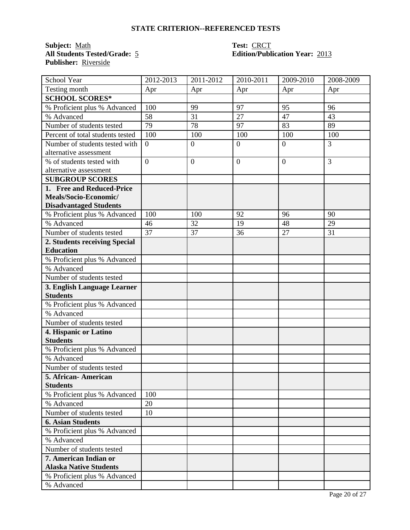**Subject:** <u>Math</u> **Test:** <u>CRCT</u><br> **All Students Tested/Grade:** 5 **CRCT**<br> **Edition/Publ Publisher:** Riverside

# **Edition/Publication Year: 2013**

| School Year                              | 2012-2013      | 2011-2012        | 2010-2011      | 2009-2010      | 2008-2009 |
|------------------------------------------|----------------|------------------|----------------|----------------|-----------|
| Testing month                            | Apr            | Apr              | Apr            | Apr            | Apr       |
| <b>SCHOOL SCORES*</b>                    |                |                  |                |                |           |
| % Proficient plus % Advanced             | 100            | 99               | 97             | 95             | 96        |
| % Advanced                               | 58             | 31               | 27             | 47             | 43        |
| Number of students tested                | 79             | 78               | 97             | 83             | 89        |
| Percent of total students tested         | 100            | 100              | 100            | 100            | 100       |
| Number of students tested with           | $\overline{0}$ | $\boldsymbol{0}$ | $\overline{0}$ | $\overline{0}$ | 3         |
| alternative assessment                   |                |                  |                |                |           |
| % of students tested with                | $\overline{0}$ | $\overline{0}$   | $\overline{0}$ | $\overline{0}$ | 3         |
| alternative assessment                   |                |                  |                |                |           |
| <b>SUBGROUP SCORES</b>                   |                |                  |                |                |           |
| 1. Free and Reduced-Price                |                |                  |                |                |           |
| Meals/Socio-Economic/                    |                |                  |                |                |           |
| <b>Disadvantaged Students</b>            |                |                  |                |                |           |
| % Proficient plus % Advanced             | 100            | 100              | 92             | 96             | 90        |
| % Advanced                               | 46             | 32               | 19             | 48             | 29        |
| Number of students tested                | 37             | 37               | 36             | 27             | 31        |
| 2. Students receiving Special            |                |                  |                |                |           |
| <b>Education</b>                         |                |                  |                |                |           |
| % Proficient plus % Advanced             |                |                  |                |                |           |
| % Advanced                               |                |                  |                |                |           |
| Number of students tested                |                |                  |                |                |           |
| 3. English Language Learner              |                |                  |                |                |           |
| <b>Students</b>                          |                |                  |                |                |           |
| % Proficient plus % Advanced             |                |                  |                |                |           |
| % Advanced                               |                |                  |                |                |           |
| Number of students tested                |                |                  |                |                |           |
| 4. Hispanic or Latino<br><b>Students</b> |                |                  |                |                |           |
| % Proficient plus % Advanced             |                |                  |                |                |           |
| % Advanced                               |                |                  |                |                |           |
| Number of students tested                |                |                  |                |                |           |
| 5. African- American                     |                |                  |                |                |           |
| <b>Students</b>                          |                |                  |                |                |           |
| % Proficient plus % Advanced             | 100            |                  |                |                |           |
| % Advanced                               | 20             |                  |                |                |           |
| Number of students tested                | 10             |                  |                |                |           |
| <b>6. Asian Students</b>                 |                |                  |                |                |           |
| % Proficient plus % Advanced             |                |                  |                |                |           |
| % Advanced                               |                |                  |                |                |           |
| Number of students tested                |                |                  |                |                |           |
| 7. American Indian or                    |                |                  |                |                |           |
| <b>Alaska Native Students</b>            |                |                  |                |                |           |
| % Proficient plus % Advanced             |                |                  |                |                |           |
| % Advanced                               |                |                  |                |                |           |
|                                          |                |                  |                |                |           |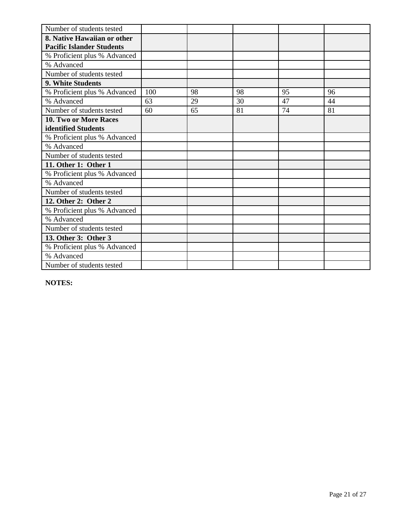| Number of students tested        |     |    |    |    |    |
|----------------------------------|-----|----|----|----|----|
| 8. Native Hawaiian or other      |     |    |    |    |    |
| <b>Pacific Islander Students</b> |     |    |    |    |    |
| % Proficient plus % Advanced     |     |    |    |    |    |
| % Advanced                       |     |    |    |    |    |
| Number of students tested        |     |    |    |    |    |
| 9. White Students                |     |    |    |    |    |
| % Proficient plus % Advanced     | 100 | 98 | 98 | 95 | 96 |
| % Advanced                       | 63  | 29 | 30 | 47 | 44 |
| Number of students tested        | 60  | 65 | 81 | 74 | 81 |
| 10. Two or More Races            |     |    |    |    |    |
| identified Students              |     |    |    |    |    |
| % Proficient plus % Advanced     |     |    |    |    |    |
| % Advanced                       |     |    |    |    |    |
| Number of students tested        |     |    |    |    |    |
| 11. Other 1: Other 1             |     |    |    |    |    |
| % Proficient plus % Advanced     |     |    |    |    |    |
| % Advanced                       |     |    |    |    |    |
| Number of students tested        |     |    |    |    |    |
| 12. Other 2: Other 2             |     |    |    |    |    |
| % Proficient plus % Advanced     |     |    |    |    |    |
| % Advanced                       |     |    |    |    |    |
| Number of students tested        |     |    |    |    |    |
| 13. Other 3: Other 3             |     |    |    |    |    |
| % Proficient plus % Advanced     |     |    |    |    |    |
| % Advanced                       |     |    |    |    |    |
| Number of students tested        |     |    |    |    |    |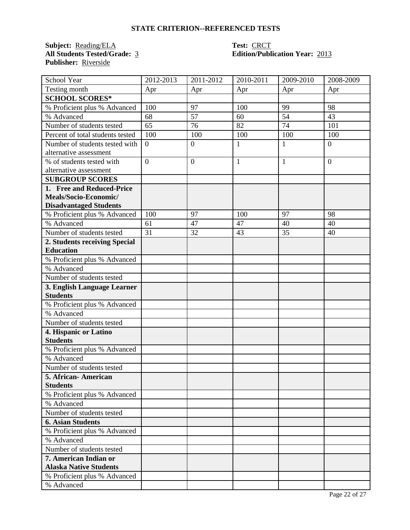**Subject:** <u>Reading/ELA</u> **Test: CRCT**<br> **All Students Tested/Grade:** 3 **Edition/Publ Publisher:** Riverside

# **All Students Tested/Grade:** 3 **Edition/Publication Year:** 2013

| School Year                                     | 2012-2013        | $\overline{2011}$ -2012 | 2010-2011    | 2009-2010    | 2008-2009      |
|-------------------------------------------------|------------------|-------------------------|--------------|--------------|----------------|
| Testing month                                   | Apr              | Apr                     | Apr          | Apr          | Apr            |
| <b>SCHOOL SCORES*</b>                           |                  |                         |              |              |                |
| % Proficient plus % Advanced                    | 100              | 97                      | 100          | 99           | 98             |
| % Advanced                                      | 68               | 57                      | 60           | 54           | 43             |
| Number of students tested                       | 65               | 76                      | 82           | 74           | 101            |
| Percent of total students tested                | 100              | 100                     | 100          | 100          | 100            |
| Number of students tested with                  | $\boldsymbol{0}$ | $\boldsymbol{0}$        | $\mathbf{1}$ | $\mathbf{1}$ | $\overline{0}$ |
| alternative assessment                          |                  |                         |              |              |                |
| % of students tested with                       | $\overline{0}$   | $\overline{0}$          | $\mathbf{1}$ | $\mathbf{1}$ | $\overline{0}$ |
| alternative assessment                          |                  |                         |              |              |                |
| <b>SUBGROUP SCORES</b>                          |                  |                         |              |              |                |
| 1. Free and Reduced-Price                       |                  |                         |              |              |                |
| Meals/Socio-Economic/                           |                  |                         |              |              |                |
| <b>Disadvantaged Students</b>                   |                  |                         |              |              |                |
| % Proficient plus % Advanced                    | 100              | 97                      | 100          | 97           | 98             |
| % Advanced                                      | 61               | 47                      | 47           | 40           | 40             |
| Number of students tested                       | 31               | 32                      | 43           | 35           | 40             |
| 2. Students receiving Special                   |                  |                         |              |              |                |
| <b>Education</b>                                |                  |                         |              |              |                |
| % Proficient plus % Advanced                    |                  |                         |              |              |                |
| % Advanced                                      |                  |                         |              |              |                |
| Number of students tested                       |                  |                         |              |              |                |
| 3. English Language Learner                     |                  |                         |              |              |                |
| <b>Students</b>                                 |                  |                         |              |              |                |
| % Proficient plus % Advanced                    |                  |                         |              |              |                |
| % Advanced                                      |                  |                         |              |              |                |
| Number of students tested                       |                  |                         |              |              |                |
| 4. Hispanic or Latino                           |                  |                         |              |              |                |
| <b>Students</b>                                 |                  |                         |              |              |                |
| % Proficient plus % Advanced                    |                  |                         |              |              |                |
| % Advanced                                      |                  |                         |              |              |                |
| Number of students tested                       |                  |                         |              |              |                |
| 5. African - American                           |                  |                         |              |              |                |
| <b>Students</b><br>% Proficient plus % Advanced |                  |                         |              |              |                |
| % Advanced                                      |                  |                         |              |              |                |
| Number of students tested                       |                  |                         |              |              |                |
|                                                 |                  |                         |              |              |                |
| <b>6. Asian Students</b>                        |                  |                         |              |              |                |
| % Proficient plus % Advanced                    |                  |                         |              |              |                |
| % Advanced<br>Number of students tested         |                  |                         |              |              |                |
| 7. American Indian or                           |                  |                         |              |              |                |
| <b>Alaska Native Students</b>                   |                  |                         |              |              |                |
| % Proficient plus % Advanced                    |                  |                         |              |              |                |
|                                                 |                  |                         |              |              |                |
| % Advanced                                      |                  |                         |              |              |                |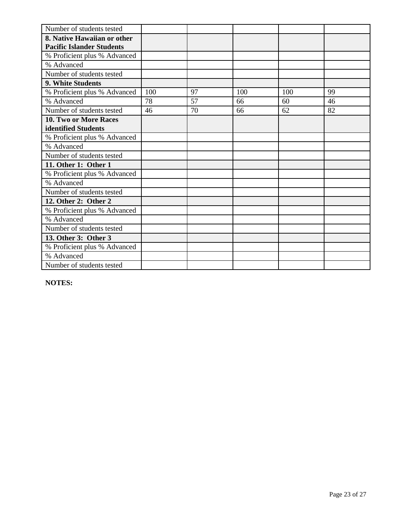| Number of students tested        |     |    |     |     |    |
|----------------------------------|-----|----|-----|-----|----|
| 8. Native Hawaiian or other      |     |    |     |     |    |
| <b>Pacific Islander Students</b> |     |    |     |     |    |
| % Proficient plus % Advanced     |     |    |     |     |    |
| % Advanced                       |     |    |     |     |    |
| Number of students tested        |     |    |     |     |    |
| 9. White Students                |     |    |     |     |    |
| % Proficient plus % Advanced     | 100 | 97 | 100 | 100 | 99 |
| % Advanced                       | 78  | 57 | 66  | 60  | 46 |
| Number of students tested        | 46  | 70 | 66  | 62  | 82 |
| 10. Two or More Races            |     |    |     |     |    |
| identified Students              |     |    |     |     |    |
| % Proficient plus % Advanced     |     |    |     |     |    |
| % Advanced                       |     |    |     |     |    |
| Number of students tested        |     |    |     |     |    |
| 11. Other 1: Other 1             |     |    |     |     |    |
| % Proficient plus % Advanced     |     |    |     |     |    |
| % Advanced                       |     |    |     |     |    |
| Number of students tested        |     |    |     |     |    |
| 12. Other 2: Other 2             |     |    |     |     |    |
| % Proficient plus % Advanced     |     |    |     |     |    |
| % Advanced                       |     |    |     |     |    |
| Number of students tested        |     |    |     |     |    |
| 13. Other 3: Other 3             |     |    |     |     |    |
| % Proficient plus % Advanced     |     |    |     |     |    |
| % Advanced                       |     |    |     |     |    |
| Number of students tested        |     |    |     |     |    |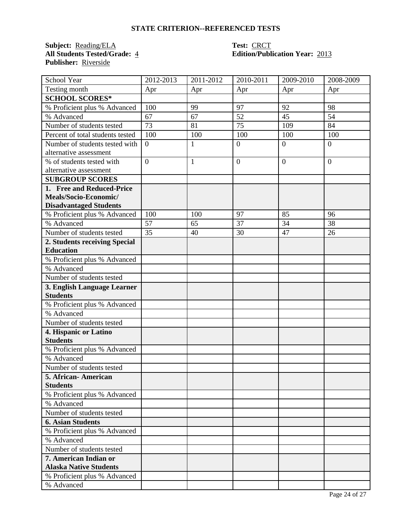**Subject:** <u>Reading/ELA</u> **Test: CRCT**<br> **All Students Tested/Grade:** 4 **Edition/Publ Publisher:** Riverside

# **All Students Tested/Grade:** 4 **Edition/Publication Year:** 2013

| School Year                                            | 2012-2013      | 2011-2012    | 2010-2011      | 2009-2010      | 2008-2009 |
|--------------------------------------------------------|----------------|--------------|----------------|----------------|-----------|
| Testing month                                          | Apr            | Apr          | Apr            | Apr            | Apr       |
| <b>SCHOOL SCORES*</b>                                  |                |              |                |                |           |
| % Proficient plus % Advanced                           | 100            | 99           | 97             | 92             | 98        |
| % Advanced                                             | 67             | 67           | 52             | 45             | 54        |
| Number of students tested                              | 73             | 81           | 75             | 109            | 84        |
| Percent of total students tested                       | 100            | 100          | 100            | 100            | 100       |
| Number of students tested with                         | $\overline{0}$ | $\mathbf{1}$ | $\overline{0}$ | $\overline{0}$ | $\theta$  |
| alternative assessment                                 |                |              |                |                |           |
| % of students tested with                              | $\overline{0}$ | $\mathbf{1}$ | $\overline{0}$ | $\overline{0}$ | $\theta$  |
| alternative assessment                                 |                |              |                |                |           |
| <b>SUBGROUP SCORES</b>                                 |                |              |                |                |           |
| 1. Free and Reduced-Price                              |                |              |                |                |           |
| Meals/Socio-Economic/                                  |                |              |                |                |           |
| <b>Disadvantaged Students</b>                          |                |              |                |                |           |
| % Proficient plus % Advanced                           | 100            | 100          | 97             | 85             | 96        |
| % Advanced                                             | 57             | 65           | 37             | 34             | 38        |
| Number of students tested                              | 35             | 40           | 30             | 47             | 26        |
| 2. Students receiving Special                          |                |              |                |                |           |
| <b>Education</b>                                       |                |              |                |                |           |
| % Proficient plus % Advanced                           |                |              |                |                |           |
| % Advanced                                             |                |              |                |                |           |
| Number of students tested                              |                |              |                |                |           |
| 3. English Language Learner                            |                |              |                |                |           |
| <b>Students</b>                                        |                |              |                |                |           |
| % Proficient plus % Advanced                           |                |              |                |                |           |
| % Advanced                                             |                |              |                |                |           |
| Number of students tested                              |                |              |                |                |           |
| 4. Hispanic or Latino                                  |                |              |                |                |           |
| <b>Students</b>                                        |                |              |                |                |           |
| % Proficient plus % Advanced                           |                |              |                |                |           |
| % Advanced                                             |                |              |                |                |           |
| Number of students tested                              |                |              |                |                |           |
| 5. African-American                                    |                |              |                |                |           |
| <b>Students</b>                                        |                |              |                |                |           |
| % Proficient plus % Advanced<br>% Advanced             |                |              |                |                |           |
| Number of students tested                              |                |              |                |                |           |
|                                                        |                |              |                |                |           |
| <b>6. Asian Students</b>                               |                |              |                |                |           |
| % Proficient plus % Advanced                           |                |              |                |                |           |
| % Advanced<br>Number of students tested                |                |              |                |                |           |
|                                                        |                |              |                |                |           |
| 7. American Indian or<br><b>Alaska Native Students</b> |                |              |                |                |           |
|                                                        |                |              |                |                |           |
| % Proficient plus % Advanced                           |                |              |                |                |           |
| % Advanced                                             |                |              |                |                |           |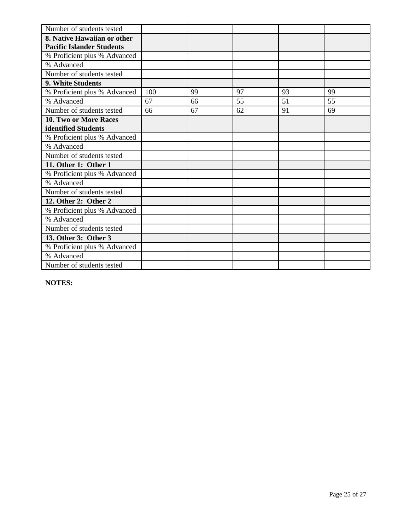| Number of students tested        |     |    |    |    |    |
|----------------------------------|-----|----|----|----|----|
| 8. Native Hawaiian or other      |     |    |    |    |    |
| <b>Pacific Islander Students</b> |     |    |    |    |    |
| % Proficient plus % Advanced     |     |    |    |    |    |
| % Advanced                       |     |    |    |    |    |
| Number of students tested        |     |    |    |    |    |
| 9. White Students                |     |    |    |    |    |
| % Proficient plus % Advanced     | 100 | 99 | 97 | 93 | 99 |
| % Advanced                       | 67  | 66 | 55 | 51 | 55 |
| Number of students tested        | 66  | 67 | 62 | 91 | 69 |
| 10. Two or More Races            |     |    |    |    |    |
| identified Students              |     |    |    |    |    |
| % Proficient plus % Advanced     |     |    |    |    |    |
| % Advanced                       |     |    |    |    |    |
| Number of students tested        |     |    |    |    |    |
| 11. Other 1: Other 1             |     |    |    |    |    |
| % Proficient plus % Advanced     |     |    |    |    |    |
| % Advanced                       |     |    |    |    |    |
| Number of students tested        |     |    |    |    |    |
| 12. Other 2: Other 2             |     |    |    |    |    |
| % Proficient plus % Advanced     |     |    |    |    |    |
| % Advanced                       |     |    |    |    |    |
| Number of students tested        |     |    |    |    |    |
| 13. Other 3: Other 3             |     |    |    |    |    |
| % Proficient plus % Advanced     |     |    |    |    |    |
| % Advanced                       |     |    |    |    |    |
| Number of students tested        |     |    |    |    |    |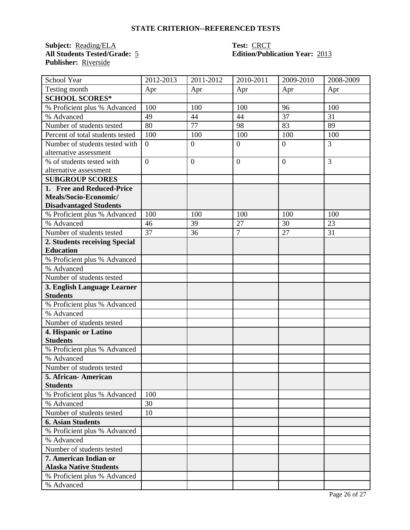**Subject:** <u>Reading/ELA</u> **Test: CRCT**<br> **All Students Tested/Grade:** 5 **Edition/Publ Publisher:** Riverside

# **Edition/Publication Year: 2013**

| School Year                      | 2012-2013      | 2011-2012      | 2010-2011        | 2009-2010      | 2008-2009 |
|----------------------------------|----------------|----------------|------------------|----------------|-----------|
| Testing month                    | Apr            | Apr            | Apr              | Apr            | Apr       |
| <b>SCHOOL SCORES*</b>            |                |                |                  |                |           |
| % Proficient plus % Advanced     | 100            | 100            | 100              | 96             | 100       |
| % Advanced                       | 49             | 44             | 44               | 37             | 31        |
| Number of students tested        | 80             | 77             | 98               | 83             | 89        |
| Percent of total students tested | 100            | 100            | 100              | 100            | 100       |
| Number of students tested with   | $\overline{0}$ | $\overline{0}$ | $\overline{0}$   | $\overline{0}$ | 3         |
| alternative assessment           |                |                |                  |                |           |
| % of students tested with        | $\overline{0}$ | $\overline{0}$ | $\boldsymbol{0}$ | $\overline{0}$ | 3         |
| alternative assessment           |                |                |                  |                |           |
| <b>SUBGROUP SCORES</b>           |                |                |                  |                |           |
| 1. Free and Reduced-Price        |                |                |                  |                |           |
| Meals/Socio-Economic/            |                |                |                  |                |           |
| <b>Disadvantaged Students</b>    |                |                |                  |                |           |
| % Proficient plus % Advanced     | 100            | 100            | 100              | 100            | 100       |
| % Advanced                       | 46             | 39             | 27               | 30             | 23        |
| Number of students tested        | 37             | 36             | $\overline{7}$   | 27             | 31        |
| 2. Students receiving Special    |                |                |                  |                |           |
| <b>Education</b>                 |                |                |                  |                |           |
| % Proficient plus % Advanced     |                |                |                  |                |           |
| % Advanced                       |                |                |                  |                |           |
| Number of students tested        |                |                |                  |                |           |
| 3. English Language Learner      |                |                |                  |                |           |
| <b>Students</b>                  |                |                |                  |                |           |
| % Proficient plus % Advanced     |                |                |                  |                |           |
| % Advanced                       |                |                |                  |                |           |
| Number of students tested        |                |                |                  |                |           |
| 4. Hispanic or Latino            |                |                |                  |                |           |
| <b>Students</b>                  |                |                |                  |                |           |
| % Proficient plus % Advanced     |                |                |                  |                |           |
| % Advanced                       |                |                |                  |                |           |
| Number of students tested        |                |                |                  |                |           |
| 5. African- American             |                |                |                  |                |           |
| <b>Students</b>                  |                |                |                  |                |           |
| % Proficient plus % Advanced     | 100            |                |                  |                |           |
| % Advanced                       | 30             |                |                  |                |           |
| Number of students tested        | 10             |                |                  |                |           |
| <b>6. Asian Students</b>         |                |                |                  |                |           |
| % Proficient plus % Advanced     |                |                |                  |                |           |
| % Advanced                       |                |                |                  |                |           |
| Number of students tested        |                |                |                  |                |           |
| 7. American Indian or            |                |                |                  |                |           |
| <b>Alaska Native Students</b>    |                |                |                  |                |           |
| % Proficient plus % Advanced     |                |                |                  |                |           |
| % Advanced                       |                |                |                  |                |           |